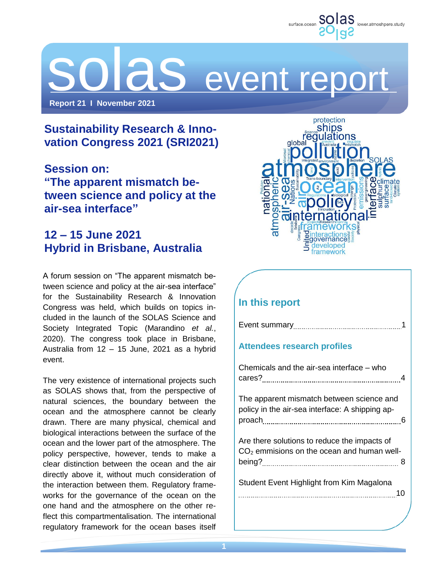

# DI aS event report

**Report 21 I November 2021**

# **Sustainability Research & Innovation Congress 2021 (SRI2021)**

**Session on: "The apparent mismatch between science and policy at the air-sea interface"**

# **12 – 15 June 2021 Hybrid in Brisbane, Australia**

A forum session on "The apparent mismatch between science and policy at the air-sea interface" for the Sustainability Research & Innovation Congress was held, which builds on topics included in the launch of the SOLAS Science and Society Integrated Topic (Marandino *et al.*, 2020). The congress took place in Brisbane, Australia from 12 – 15 June, 2021 as a hybrid event.

The very existence of international projects such as SOLAS shows that, from the perspective of natural sciences, the boundary between the ocean and the atmosphere cannot be clearly drawn. There are many physical, chemical and biological interactions between the surface of the ocean and the lower part of the atmosphere. The policy perspective, however, tends to make a clear distinction between the ocean and the air directly above it, without much consideration of the interaction between them. Regulatory frameworks for the governance of the ocean on the one hand and the atmosphere on the other reflect this compartmentalisation. The international regulatory framework for the ocean bases itself



# **In this report**

Event summary 1999 and 1999 and 1999 and 1999 and 1999 and 1999 and 1999 and 1999 and 1999 and 1999 and 1999 a

## **Attendees research profiles**

| Chemicals and the air-sea interface – who                                                    |  |
|----------------------------------------------------------------------------------------------|--|
| The apparent mismatch between science and<br>policy in the air-sea interface: A shipping ap- |  |
| Are there solutions to reduce the impacts of<br>$CO2$ emmisions on the ocean and human well- |  |
| Student Event Highlight from Kim Magalona<br>10                                              |  |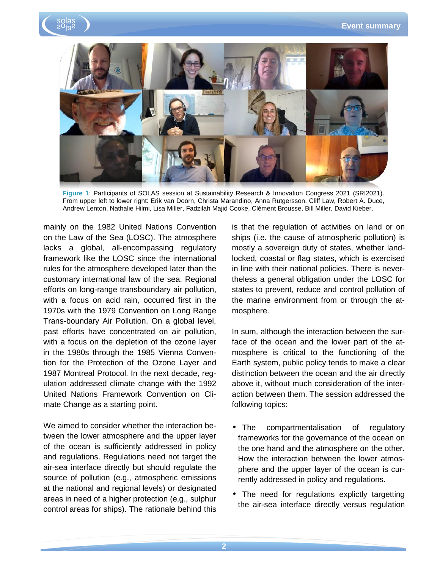



**Figure 1**: Participants of SOLAS session at Sustainability Research & Innovation Congress 2021 (SRI2021). From upper left to lower right: Erik van Doorn, Christa Marandino, Anna Rutgersson, Cliff Law, Robert A. Duce, Andrew Lenton, Nathalie Hilmi, Lisa Miller, Fadzilah Majid Cooke, Clément Brousse, Bill Miller, David Kieber.

mainly on the 1982 United Nations Convention on the Law of the Sea (LOSC). The atmosphere lacks a global, all-encompassing regulatory framework like the LOSC since the international rules for the atmosphere developed later than the customary international law of the sea. Regional efforts on long-range transboundary air pollution, with a focus on acid rain, occurred first in the 1970s with the 1979 Convention on Long Range Trans-boundary Air Pollution. On a global level, past efforts have concentrated on air pollution, with a focus on the depletion of the ozone layer in the 1980s through the 1985 Vienna Convention for the Protection of the Ozone Layer and 1987 Montreal Protocol. In the next decade, regulation addressed climate change with the 1992 United Nations Framework Convention on Climate Change as a starting point.

We aimed to consider whether the interaction between the lower atmosphere and the upper layer of the ocean is sufficiently addressed in policy and regulations. Regulations need not target the air-sea interface directly but should regulate the source of pollution (e.g., atmospheric emissions at the national and regional levels) or designated areas in need of a higher protection (e.g., sulphur control areas for ships). The rationale behind this is that the regulation of activities on land or on ships (i.e. the cause of atmospheric pollution) is mostly a sovereign duty of states, whether landlocked, coastal or flag states, which is exercised in line with their national policies. There is nevertheless a general obligation under the LOSC for states to prevent, reduce and control pollution of the marine environment from or through the atmosphere.

In sum, although the interaction between the surface of the ocean and the lower part of the atmosphere is critical to the functioning of the Earth system, public policy tends to make a clear distinction between the ocean and the air directly above it, without much consideration of the interaction between them. The session addressed the following topics:

- The compartmentalisation of regulatory frameworks for the governance of the ocean on the one hand and the atmosphere on the other. How the interaction between the lower atmosphere and the upper layer of the ocean is currently addressed in policy and regulations.
- The need for regulations explictly targetting the air-sea interface directly versus regulation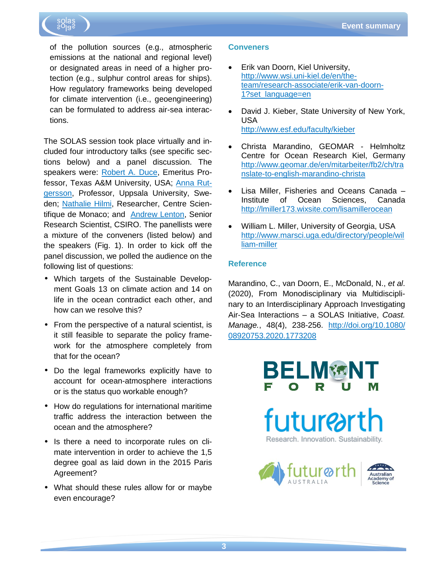

of the pollution sources (e.g., atmospheric emissions at the national and regional level) or designated areas in need of a higher protection (e.g., sulphur control areas for ships). How regulatory frameworks being developed for climate intervention (i.e., geoengineering) can be formulated to address air-sea interactions.

The SOLAS session took place virtually and included four introductory talks (see specific sections below) and a panel discussion. The speakers were: [Robert A. Duce,](http://atmo.tamu.edu/people/profiles/emeritus-faculty/ducerobert.html) Emeritus Professor, Texas A&M University, USA; [Anna Rut](http://katalog.uu.se/profile?id=N96-3829)[gersson,](http://katalog.uu.se/profile?id=N96-3829) Professor, Uppsala University, Sweden; [Nathalie Hilmi,](http://www.centrescientifique.mc/en/environmental-economics/fiche/nathalie-hilmi) Researcher, Centre Scientifique de Monaco; and [Andrew Lenton,](http://people.csiro.au/L/A/Andrew-Lenton) Senior Research Scientist, CSIRO. The panellists were a mixture of the conveners (listed below) and the speakers (Fig. 1). In order to kick off the panel discussion, we polled the audience on the following list of questions:

- Which targets of the Sustainable Development Goals 13 on climate action and 14 on life in the ocean contradict each other, and how can we resolve this?
- From the perspective of a natural scientist, is it still feasible to separate the policy framework for the atmosphere completely from that for the ocean?
- Do the legal frameworks explicitly have to account for ocean-atmosphere interactions or is the status quo workable enough?
- How do regulations for international maritime traffic address the interaction between the ocean and the atmosphere?
- Is there a need to incorporate rules on climate intervention in order to achieve the 1,5 degree goal as laid down in the 2015 Paris Agreement?
- What should these rules allow for or maybe even encourage?

#### **Conveners**

- Erik van Doorn, Kiel University, [http://www.wsi.uni-kiel.de/en/the](http://www.wsi.uni-kiel.de/en/the-team/research-associate/erik-van-doorn-1?set_language=en)[team/research-associate/erik-van-doorn-](http://www.wsi.uni-kiel.de/en/the-team/research-associate/erik-van-doorn-1?set_language=en)[1?set\\_language=en](http://www.wsi.uni-kiel.de/en/the-team/research-associate/erik-van-doorn-1?set_language=en)
- David J. Kieber, State University of New York, USA <http://www.esf.edu/faculty/kieber>
- Christa Marandino, GEOMAR Helmholtz Centre for Ocean Research Kiel, Germany [http://www.geomar.de/en/mitarbeiter/fb2/ch/tra](http://www.geomar.de/en/mitarbeiter/fb2/ch/translate-to-english-marandino-christa) [nslate-to-english-marandino-christa](http://www.geomar.de/en/mitarbeiter/fb2/ch/translate-to-english-marandino-christa)
- Lisa Miller, Fisheries and Oceans Canada Institute of Ocean Sciences, Canada <http://lmiller173.wixsite.com/lisamillerocean>
- William L. Miller, University of Georgia, USA [http://www.marsci.uga.edu/directory/people/wil](http://www.marsci.uga.edu/directory/people/william-miller) [liam-miller](http://www.marsci.uga.edu/directory/people/william-miller)

#### **Reference**

Marandino, C., van Doorn, E., McDonald, N., *et al*. (2020), From Monodisciplinary via Multidisciplinary to an Interdisciplinary Approach Investigating Air-Sea Interactions – a SOLAS Initiative, *Coast. Manage.*, 48(4), 238-256. <http://doi.org/10.1080/> [08920753.2020.1773208](https://doi.org/10.1080/08920753.2020.1773208)

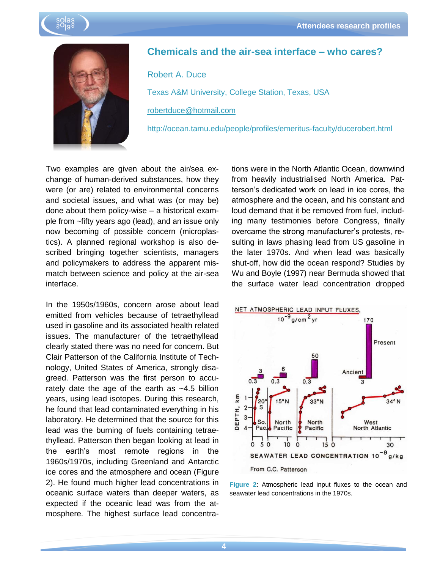



## **Chemicals and the air-sea interface – who cares?**

Robert A. Duce Texas A&M University, College Station, Texas, USA robertduce@hotmail.com

http://ocean.tamu.edu/people/profiles/emeritus-faculty/ducerobert.html

Two examples are given about the air/sea exchange of human-derived substances, how they were (or are) related to environmental concerns and societal issues, and what was (or may be) done about them policy-wise – a historical example from ~fifty years ago (lead), and an issue only now becoming of possible concern (microplastics). A planned regional workshop is also described bringing together scientists, managers and policymakers to address the apparent mismatch between science and policy at the air-sea interface.

In the 1950s/1960s, concern arose about lead emitted from vehicles because of tetraethyllead used in gasoline and its associated health related issues. The manufacturer of the tetraethyllead clearly stated there was no need for concern. But Clair Patterson of the California Institute of Technology, United States of America, strongly disagreed. Patterson was the first person to accurately date the age of the earth as  $~1.5$  billion years, using lead isotopes. During this research, he found that lead contaminated everything in his laboratory. He determined that the source for this lead was the burning of fuels containing tetraethyllead. Patterson then began looking at lead in the earth's most remote regions in the 1960s/1970s, including Greenland and Antarctic ice cores and the atmosphere and ocean (Figure 2). He found much higher lead concentrations in oceanic surface waters than deeper waters, as expected if the oceanic lead was from the atmosphere. The highest surface lead concentrations were in the North Atlantic Ocean, downwind from heavily industrialised North America. Patterson's dedicated work on lead in ice cores, the atmosphere and the ocean, and his constant and loud demand that it be removed from fuel, including many testimonies before Congress, finally overcame the strong manufacturer's protests, resulting in laws phasing lead from US gasoline in the later 1970s. And when lead was basically shut-off, how did the ocean respond? Studies by Wu and Boyle (1997) near Bermuda showed that the surface water lead concentration dropped



**Figure 2**: Atmospheric lead input fluxes to the ocean and seawater lead concentrations in the 1970s.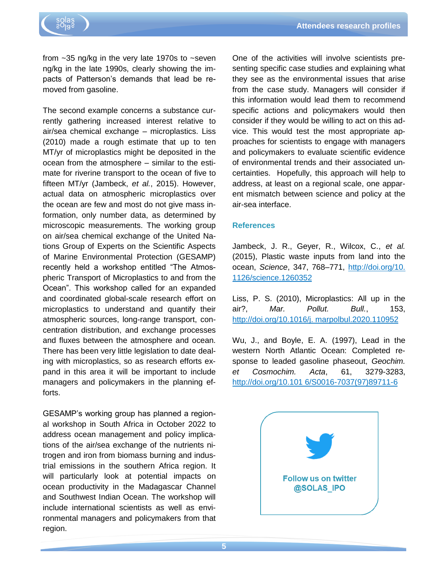from  $\sim$ 35 ng/kg in the very late 1970s to  $\sim$ seven ng/kg in the late 1990s, clearly showing the impacts of Patterson's demands that lead be removed from gasoline.

The second example concerns a substance currently gathering increased interest relative to air/sea chemical exchange – microplastics. Liss (2010) made a rough estimate that up to ten MT/yr of microplastics might be deposited in the ocean from the atmosphere – similar to the estimate for riverine transport to the ocean of five to fifteen MT/yr (Jambeck, *et al.*, 2015). However, actual data on atmospheric microplastics over the ocean are few and most do not give mass information, only number data, as determined by microscopic measurements. The working group on air/sea chemical exchange of the United Nations Group of Experts on the Scientific Aspects of Marine Environmental Protection (GESAMP) recently held a workshop entitled "The Atmospheric Transport of Microplastics to and from the Ocean". This workshop called for an expanded and coordinated global-scale research effort on microplastics to understand and quantify their atmospheric sources, long-range transport, concentration distribution, and exchange processes and fluxes between the atmosphere and ocean. There has been very little legislation to date dealing with microplastics, so as research efforts expand in this area it will be important to include managers and policymakers in the planning efforts.

GESAMP's working group has planned a regional workshop in South Africa in October 2022 to address ocean management and policy implications of the air/sea exchange of the nutrients nitrogen and iron from biomass burning and industrial emissions in the southern Africa region. It will particularly look at potential impacts on ocean productivity in the Madagascar Channel and Southwest Indian Ocean. The workshop will include international scientists as well as environmental managers and policymakers from that region.

One of the activities will involve scientists presenting specific case studies and explaining what they see as the environmental issues that arise from the case study. Managers will consider if this information would lead them to recommend specific actions and policymakers would then consider if they would be willing to act on this advice. This would test the most appropriate approaches for scientists to engage with managers and policymakers to evaluate scientific evidence of environmental trends and their associated uncertainties. Hopefully, this approach will help to address, at least on a regional scale, one apparent mismatch between science and policy at the air-sea interface.

#### **References**

Jambeck, J. R., Geyer, R., Wilcox, C., *et al.* (2015), Plastic waste inputs from land into the ocean, *Science*, 347, 768–771,<http://doi.org/10.> [1126/science.1260352](https://doi.org/10.1126/science.1260352)

Liss, P. S. (2010), Microplastics: All up in the air?, *Mar. Pollut. Bull.*, 153, <http://doi.org/10.1016/j.> [marpolbul.2020.110952](https://doi.org/10.1016/j.marpolbul.2020.110952)

Wu, J., and Boyle, E. A. (1997), Lead in the western North Atlantic Ocean: Completed response to leaded gasoline phaseout, *Geochim. et Cosmochim. Acta*, 61, 3279-3283, <http://doi.org/10.101> [6/S0016-7037\(97\)89711-6](https://doi.org/10.1016/S0016-7037(97)89711-6)

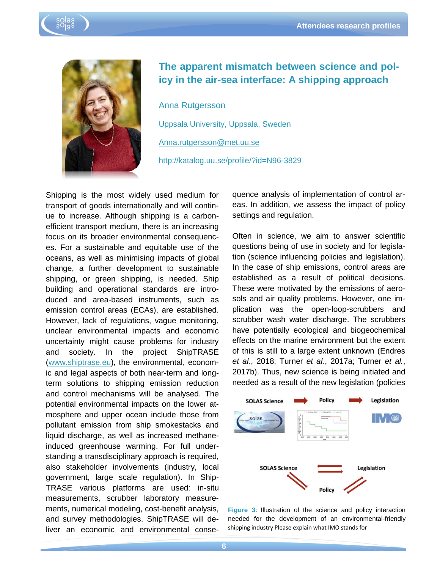



## **The apparent mismatch between science and policy in the air-sea interface: A shipping approach**

Anna Rutgersson Uppsala University, Uppsala, Sweden Anna.rutgersson@met.uu.se http://katalog.uu.se/profile/?id=N96-3829

Shipping is the most widely used medium for transport of goods internationally and will continue to increase. Although shipping is a carbonefficient transport medium, there is an increasing focus on its broader environmental consequences. For a sustainable and equitable use of the oceans, as well as minimising impacts of global change, a further development to sustainable shipping, or green shipping, is needed. Ship building and operational standards are introduced and area-based instruments, such as emission control areas (ECAs), are established. However, lack of regulations, vague monitoring, unclear environmental impacts and economic uncertainty might cause problems for industry and society. In the project ShipTRASE [\(www.shiptrase.eu\)](http://www.shiptrase.eu/), the environmental, economic and legal aspects of both near-term and longterm solutions to shipping emission reduction and control mechanisms will be analysed. The potential environmental impacts on the lower atmosphere and upper ocean include those from pollutant emission from ship smokestacks and liquid discharge, as well as increased methaneinduced greenhouse warming. For full understanding a transdisciplinary approach is required, also stakeholder involvements (industry, local government, large scale regulation). In Ship-TRASE various platforms are used: in-situ measurements, scrubber laboratory measurements, numerical modeling, cost-benefit analysis, and survey methodologies. ShipTRASE will deliver an economic and environmental consequence analysis of implementation of control areas. In addition, we assess the impact of policy settings and regulation.

Often in science, we aim to answer scientific questions being of use in society and for legislation (science influencing policies and legislation). In the case of ship emissions, control areas are established as a result of political decisions. These were motivated by the emissions of aerosols and air quality problems. However, one implication was the open-loop-scrubbers and scrubber wash water discharge. The scrubbers have potentially ecological and biogeochemical effects on the marine environment but the extent of this is still to a large extent unknown (Endres *et al.*, 2018; Turner *et al.*, 2017a; Turner *et al.*, 2017b). Thus, new science is being initiated and needed as a result of the new legislation (policies



**Figure 3**: Illustration of the science and policy interaction needed for the development of an environmental-friendly shipping industry Please explain what IMO stands for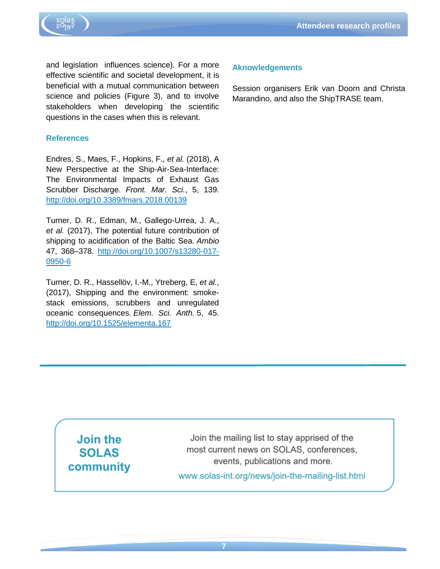

and legislation influences science). For a more effective scientific and societal development, it is beneficial with a mutual communication between science and policies (Figure 3), and to involve stakeholders when developing the scientific questions in the cases when this is relevant.

#### **References**

Endres, S., Maes, F., Hopkins, F., *et al.* (2018), A New Perspective at the Ship-Air-Sea-Interface: The Environmental Impacts of Exhaust Gas Scrubber Discharge. *Front. Mar. Sci.*, 5, 139. <http://doi.org/10.3389/fmars.2018.00139>

Turner, D. R., Edman, M., Gallego-Urrea, J. A., *et al.* (2017), The potential future contribution of shipping to acidification of the Baltic Sea. *Ambio* 47, 368–378. [http://doi.org/10.1007/s13280-017-](http://doi.org/10.1007/s13280-017-0950-6) [0950-6](http://doi.org/10.1007/s13280-017-0950-6)

Turner, D. R., Hassellöv, I.-M., Ytreberg, E, *et al.*, (2017), Shipping and the environment: smokestack emissions, scrubbers and unregulated oceanic consequences. *Elem. Sci. Anth.* 5, 45. <http://doi.org/10.1525/elementa.167>

#### **Aknowledgements**

Session organisers Erik van Doorn and Christa Marandino, and also the ShipTRASE team.

**Join the SOLAS** community

Join the mailing list to stay apprised of the most current news on SOLAS, conferences. events, publications and more. www.solas-int.org/news/join-the-mailing-list.html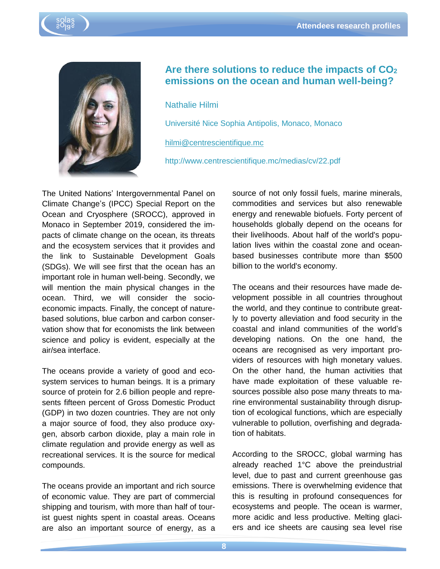



# **Are there solutions to reduce the impacts of CO<sup>2</sup> emissions on the ocean and human well-being?**

Nathalie Hilmi

Université Nice Sophia Antipolis, Monaco, Monaco

[hilmi@centrescientifique.mc](mailto:hilmi@centrescientifique.mc)

http://www.centrescientifique.mc/medias/cv/22.pdf

The United Nations' Intergovernmental Panel on Climate Change's (IPCC) Special Report on the Ocean and Cryosphere (SROCC), approved in Monaco in September 2019, considered the impacts of climate change on the ocean, its threats and the ecosystem services that it provides and the link to Sustainable Development Goals (SDGs). We will see first that the ocean has an important role in human well-being. Secondly, we will mention the main physical changes in the ocean. Third, we will consider the socioeconomic impacts. Finally, the concept of naturebased solutions, blue carbon and carbon conservation show that for economists the link between science and policy is evident, especially at the air/sea interface.

The oceans provide a variety of good and ecosystem services to human beings. It is a primary source of protein for 2.6 billion people and represents fifteen percent of Gross Domestic Product (GDP) in two dozen countries. They are not only a major source of food, they also produce oxygen, absorb carbon dioxide, play a main role in climate regulation and provide energy as well as recreational services. It is the source for medical compounds.

The oceans provide an important and rich source of economic value. They are part of commercial shipping and tourism, with more than half of tourist guest nights spent in coastal areas. Oceans are also an important source of energy, as a

source of not only fossil fuels, marine minerals, commodities and services but also renewable energy and renewable biofuels. Forty percent of households globally depend on the oceans for their livelihoods. About half of the world's population lives within the coastal zone and oceanbased businesses contribute more than \$500 billion to the world's economy.

The oceans and their resources have made development possible in all countries throughout the world, and they continue to contribute greatly to poverty alleviation and food security in the coastal and inland communities of the world's developing nations. On the one hand, the oceans are recognised as very important providers of resources with high monetary values. On the other hand, the human activities that have made exploitation of these valuable resources possible also pose many threats to marine environmental sustainability through disruption of ecological functions, which are especially vulnerable to pollution, overfishing and degradation of habitats.

According to the SROCC, global warming has already reached 1°C above the preindustrial level, due to past and current greenhouse gas emissions. There is overwhelming evidence that this is resulting in profound consequences for ecosystems and people. The ocean is warmer, more acidic and less productive. Melting glaciers and ice sheets are causing sea level rise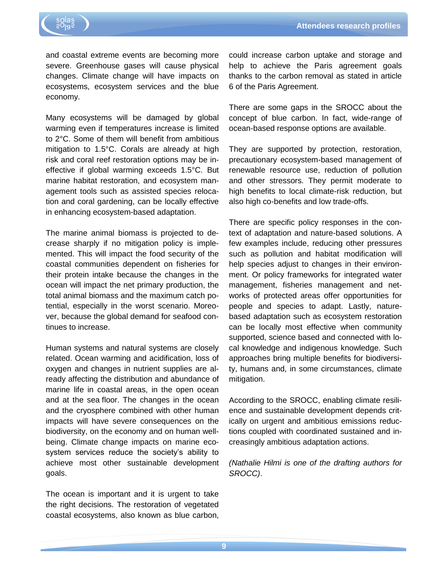

and coastal extreme events are becoming more severe. Greenhouse gases will cause physical changes. Climate change will have impacts on ecosystems, ecosystem services and the blue economy.

Many ecosystems will be damaged by global warming even if temperatures increase is limited to 2°C. Some of them will benefit from ambitious mitigation to 1.5°C. Corals are already at high risk and coral reef restoration options may be ineffective if global warming exceeds 1.5°C. But marine habitat restoration, and ecosystem management tools such as assisted species relocation and coral gardening, can be locally effective in enhancing ecosystem-based adaptation.

The marine animal biomass is projected to decrease sharply if no mitigation policy is implemented. This will impact the food security of the coastal communities dependent on fisheries for their protein intake because the changes in the ocean will impact the net primary production, the total animal biomass and the maximum catch potential, especially in the worst scenario. Moreover, because the global demand for seafood continues to increase.

Human systems and natural systems are closely related. Ocean warming and acidification, loss of oxygen and changes in nutrient supplies are already affecting the distribution and abundance of marine life in coastal areas, in the open ocean and at the sea floor. The changes in the ocean and the cryosphere combined with other human impacts will have severe consequences on the biodiversity, on the economy and on human wellbeing. Climate change impacts on marine ecosystem services reduce the society's ability to achieve most other sustainable development goals.

The ocean is important and it is urgent to take the right decisions. The restoration of vegetated coastal ecosystems, also known as blue carbon, could increase carbon uptake and storage and help to achieve the Paris agreement goals thanks to the carbon removal as stated in article 6 of the Paris Agreement.

There are some gaps in the SROCC about the concept of blue carbon. In fact, wide-range of ocean-based response options are available.

They are supported by protection, restoration, precautionary ecosystem-based management of renewable resource use, reduction of pollution and other stressors. They permit moderate to high benefits to local climate-risk reduction, but also high co-benefits and low trade-offs.

There are specific policy responses in the context of adaptation and nature-based solutions. A few examples include, reducing other pressures such as pollution and habitat modification will help species adjust to changes in their environment. Or policy frameworks for integrated water management, fisheries management and networks of protected areas offer opportunities for people and species to adapt. Lastly, naturebased adaptation such as ecosystem restoration can be locally most effective when community supported, science based and connected with local knowledge and indigenous knowledge. Such approaches bring multiple benefits for biodiversity, humans and, in some circumstances, climate mitigation.

According to the SROCC, enabling climate resilience and sustainable development depends critically on urgent and ambitious emissions reductions coupled with coordinated sustained and increasingly ambitious adaptation actions.

*(Nathalie Hilmi is one of the drafting authors for SROCC)*.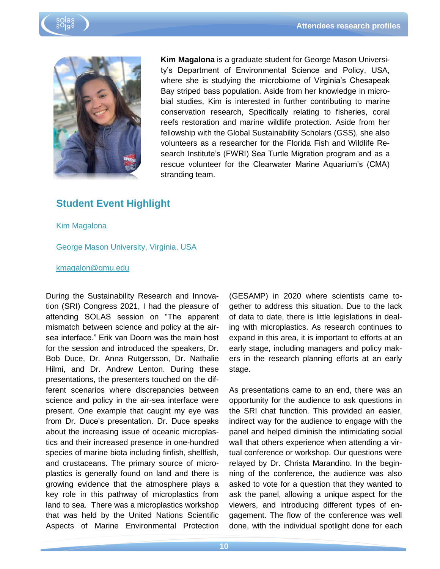



**Kim Magalona** is a graduate student for George Mason University's Department of Environmental Science and Policy, USA, where she is studying the microbiome of Virginia's Chesapeak Bay striped bass population. Aside from her knowledge in microbial studies, Kim is interested in further contributing to marine conservation research, Specifically relating to fisheries, coral reefs restoration and marine wildlife protection. Aside from her fellowship with the Global Sustainability Scholars (GSS), she also volunteers as a researcher for the Florida Fish and Wildlife Research Institute's (FWRI) Sea Turtle Migration program and as a rescue volunteer for the Clearwater Marine Aquarium's (CMA) stranding team.

## **Student Event Highlight**

Kim Magalona

George Mason University, Virginia, USA

#### [kmagalon@gmu.edu](mailto:kmagalon@gmu.edu)

During the Sustainability Research and Innovation (SRI) Congress 2021, I had the pleasure of attending SOLAS session on "The apparent mismatch between science and policy at the airsea interface." Erik van Doorn was the main host for the session and introduced the speakers, Dr. Bob Duce, Dr. Anna Rutgersson, Dr. Nathalie Hilmi, and Dr. Andrew Lenton. During these presentations, the presenters touched on the different scenarios where discrepancies between science and policy in the air-sea interface were present. One example that caught my eye was from Dr. Duce's presentation. Dr. Duce speaks about the increasing issue of oceanic microplastics and their increased presence in one-hundred species of marine biota including finfish, shellfish, and crustaceans. The primary source of microplastics is generally found on land and there is growing evidence that the atmosphere plays a key role in this pathway of microplastics from land to sea. There was a microplastics workshop that was held by the United Nations Scientific Aspects of Marine Environmental Protection

(GESAMP) in 2020 where scientists came together to address this situation. Due to the lack of data to date, there is little legislations in dealing with microplastics. As research continues to expand in this area, it is important to efforts at an early stage, including managers and policy makers in the research planning efforts at an early stage.

As presentations came to an end, there was an opportunity for the audience to ask questions in the SRI chat function. This provided an easier, indirect way for the audience to engage with the panel and helped diminish the intimidating social wall that others experience when attending a virtual conference or workshop. Our questions were relayed by Dr. Christa Marandino. In the beginning of the conference, the audience was also asked to vote for a question that they wanted to ask the panel, allowing a unique aspect for the viewers, and introducing different types of engagement. The flow of the conference was well done, with the individual spotlight done for each